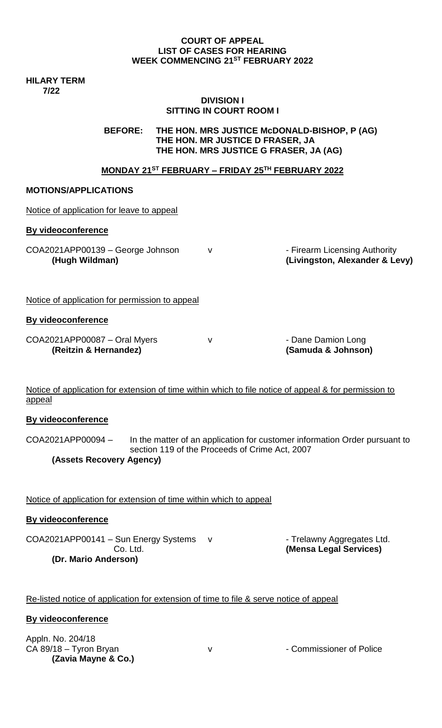#### **COURT OF APPEAL LIST OF CASES FOR HEARING WEEK COMMENCING 21ST FEBRUARY 2022**

**HILARY TERM 7/22**

#### **DIVISION I SITTING IN COURT ROOM I**

**BEFORE: THE HON. MRS JUSTICE McDONALD-BISHOP, P (AG) THE HON. MR JUSTICE D FRASER, JA THE HON. MRS JUSTICE G FRASER, JA (AG)**

## **MONDAY 21ST FEBRUARY – FRIDAY 25TH FEBRUARY 2022**

#### **MOTIONS/APPLICATIONS**

| Notice of application for leave to appeal             |   |                                                                 |
|-------------------------------------------------------|---|-----------------------------------------------------------------|
| By videoconference                                    |   |                                                                 |
| COA2021APP00139 - George Johnson<br>(Hugh Wildman)    | v | - Firearm Licensing Authority<br>(Livingston, Alexander & Levy) |
| Notice of application for permission to appeal        |   |                                                                 |
| By videoconference                                    |   |                                                                 |
| COA2021APP00087 - Oral Myers<br>(Reitzin & Hernandez) | v | - Dane Damion Long<br>(Samuda & Johnson)                        |

Notice of application for extension of time within which to file notice of appeal & for permission to appeal

#### **By videoconference**

COA2021APP00094 – In the matter of an application for customer information Order pursuant to section 119 of the Proceeds of Crime Act, 2007 **(Assets Recovery Agency)**

Notice of application for extension of time within which to appeal

#### **By videoconference**

COA2021APP00141 – Sun Energy Systems v Frelawny Aggregates Ltd.<br>Co. Ltd. (Mensa Legal Services) **(Dr. Mario Anderson)**

**(Mensa Legal Services)** 

### Re-listed notice of application for extension of time to file & serve notice of appeal

#### **By videoconference**

Appln. No. 204/18 CA 89/18 – Tyron Bryan v V v · Commissioner of Police **(Zavia Mayne & Co.)**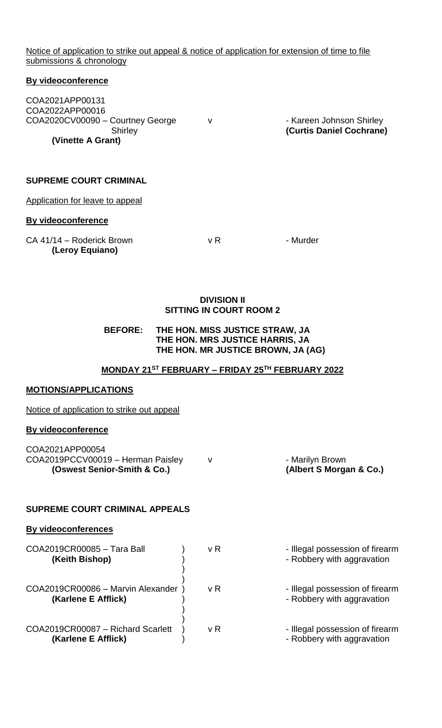Notice of application to strike out appeal & notice of application for extension of time to file submissions & chronology

#### **By videoconference**

COA2021APP00131 COA2022APP00016 COA2020CV00090 – Courtney George v - Kareen Johnson Shirley **(Vinette A Grant)** 

Shirley **(Curtis Daniel Cochrane)**

# **SUPREME COURT CRIMINAL**

Application for leave to appeal

#### **By videoconference**

| CA 41/14 - Roderick Brown | v R | - Murder |
|---------------------------|-----|----------|
| (Leroy Equiano)           |     |          |

#### **DIVISION II SITTING IN COURT ROOM 2**

### **BEFORE: THE HON. MISS JUSTICE STRAW, JA THE HON. MRS JUSTICE HARRIS, JA THE HON. MR JUSTICE BROWN, JA (AG)**

#### **MONDAY 21ST FEBRUARY – FRIDAY 25TH FEBRUARY 2022**

#### **MOTIONS/APPLICATIONS**

Notice of application to strike out appeal

#### **By videoconference**

| (Oswest Senior-Smith & Co.)       | (Albert S Morgan & Co.) |
|-----------------------------------|-------------------------|
| COA2019PCCV00019 - Herman Paisley | - Marilyn Brown         |
| COA2021APP00054                   |                         |

#### **SUPREME COURT CRIMINAL APPEALS**

## **By videoconferences**

| COA2019CR00085 - Tara Ball<br>(Keith Bishop)             | v R | - Illegal possession of firearm<br>- Robbery with aggravation |
|----------------------------------------------------------|-----|---------------------------------------------------------------|
| COA2019CR00086 - Marvin Alexander<br>(Karlene E Afflick) | v R | - Illegal possession of firearm<br>- Robbery with aggravation |
| COA2019CR00087 - Richard Scarlett<br>(Karlene E Afflick) | v R | - Illegal possession of firearm<br>- Robbery with aggravation |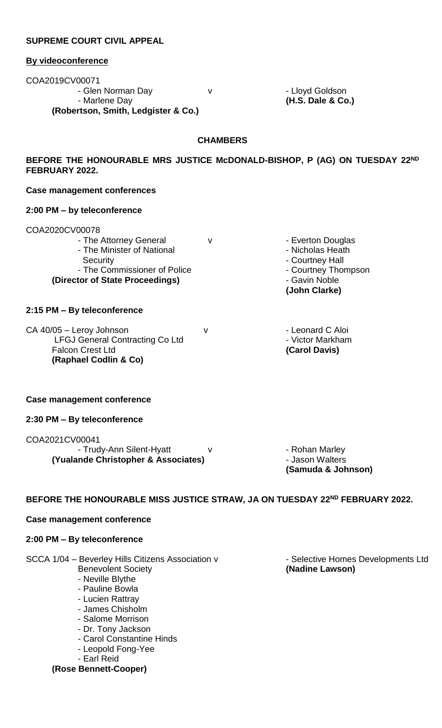### **SUPREME COURT CIVIL APPEAL**

#### **By videoconference**

COA2019CV00071 - Glen Norman Day v v - Lloyd Goldson - Marlene Day **(H.S. Dale & Co.) (Robertson, Smith, Ledgister & Co.)**

#### **CHAMBERS**

**BEFORE THE HONOURABLE MRS JUSTICE McDONALD-BISHOP, P (AG) ON TUESDAY 22ND FEBRUARY 2022.**

#### **Case management conferences**

#### **2:00 PM – by teleconference**

#### COA2020CV00078

- The Attorney General v v and Douglas - The Minister of National **Fig. 2018** - Nicholas Heath

- The Commissioner of Police **(Director of State Proceedings)** - Gavin Noble

#### **2:15 PM – By teleconference**

CA 40/05 – Leroy Johnson v v - Leonard C Aloi LFGJ General Contracting Co Ltd - Victor Markham Falcon Crest Ltd **(Carol Davis) (Raphael Codlin & Co)**

#### **Case management conference**

#### **2:30 PM – By teleconference**

#### COA2021CV00041

- Trudy-Ann Silent-Hyatt v v v - Rohan Marley **(Yualande Christopher & Associates)** - Jason Walters

Security<br>
The Commissioner of Police<br>
The Commissioner of Police<br>
The Courtney Thompson<br>
Courtney Thompson **(John Clarke)**

**(Samuda & Johnson)**

## **BEFORE THE HONOURABLE MISS JUSTICE STRAW, JA ON TUESDAY 22ND FEBRUARY 2022.**

# **Case management conference**

# **2:00 PM – By teleconference**

SCCA 1/04 - Beverley Hills Citizens Association v - Selective Homes Developments Ltd

- 
- Neville Blythe
- Pauline Bowla
- Lucien Rattray
- James Chisholm
- Salome Morrison
- Dr. Tony Jackson
- Carol Constantine Hinds
- Leopold Fong-Yee
- Earl Reid

# **(Rose Bennett-Cooper)**

**Benevolent Society** *CONDER (Nadine Lawson) CONDER (Nadine Lawson)*